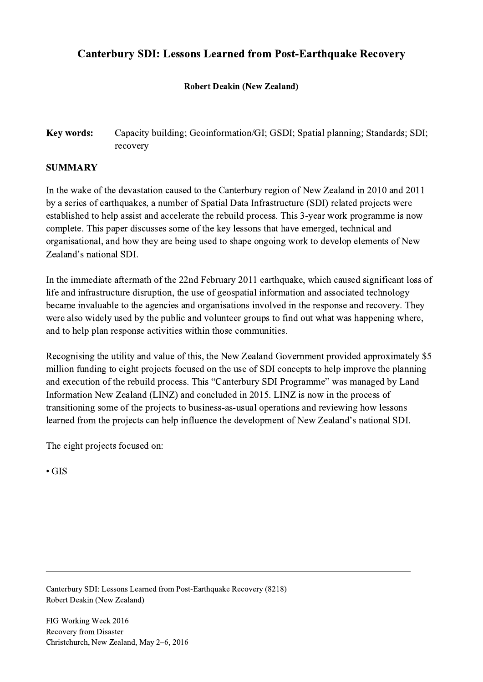# Canterbury SDI: Lessons Learned from Post-Earthquake Recovery

### Robert Deakin (New Zealand)

## Key words: Capacity building; Geoinformation/GI; GSDI; Spatial planning; Standards; SDI; recovery

### SUMMARY

In the wake of the devastation caused to the Canterbury region of New Zealand in 2010 and 2011 by a series of earthquakes, a number of Spatial Data Infrastructure (SDI) related projects were established to help assist and accelerate the rebuild process. This 3-year work programme is now complete. This paper discusses some of the key lessons that have emerged, technical and organisational, and how they are being used to shape ongoing work to develop elements of New Zealand's national SDI.

In the immediate aftermath of the 22nd February 2011 earthquake, which caused significant loss of life and infrastructure disruption, the use of geospatial information and associated technology became invaluable to the agencies and organisations involved in the response and recovery. They were also widely used by the public and volunteer groups to find out what was happening where, and to help plan response activities within those communities.

Recognising the utility and value of this, the New Zealand Government provided approximately \$5 million funding to eight projects focused on the use of SDI concepts to help improve the planning and execution of the rebuild process. This "Canterbury SDI Programme" was managed by Land Information New Zealand (LINZ) and concluded in 2015. LINZ is now in the process of transitioning some of the projects to business-as-usual operations and reviewing how lessons learned from the projects can help influence the development of New Zealand's national SDI.

 $\mathcal{L}_\mathcal{L} = \{ \mathcal{L}_\mathcal{L} = \{ \mathcal{L}_\mathcal{L} = \{ \mathcal{L}_\mathcal{L} = \{ \mathcal{L}_\mathcal{L} = \{ \mathcal{L}_\mathcal{L} = \{ \mathcal{L}_\mathcal{L} = \{ \mathcal{L}_\mathcal{L} = \{ \mathcal{L}_\mathcal{L} = \{ \mathcal{L}_\mathcal{L} = \{ \mathcal{L}_\mathcal{L} = \{ \mathcal{L}_\mathcal{L} = \{ \mathcal{L}_\mathcal{L} = \{ \mathcal{L}_\mathcal{L} = \{ \mathcal{L}_\mathcal{$ 

The eight projects focused on:

• GIS

Canterbury SDI: Lessons Learned from Post-Earthquake Recovery (8218) Robert Deakin (New Zealand)

FIG Working Week 2016 Recovery from Disaster Christchurch, New Zealand, May 2–6, 2016